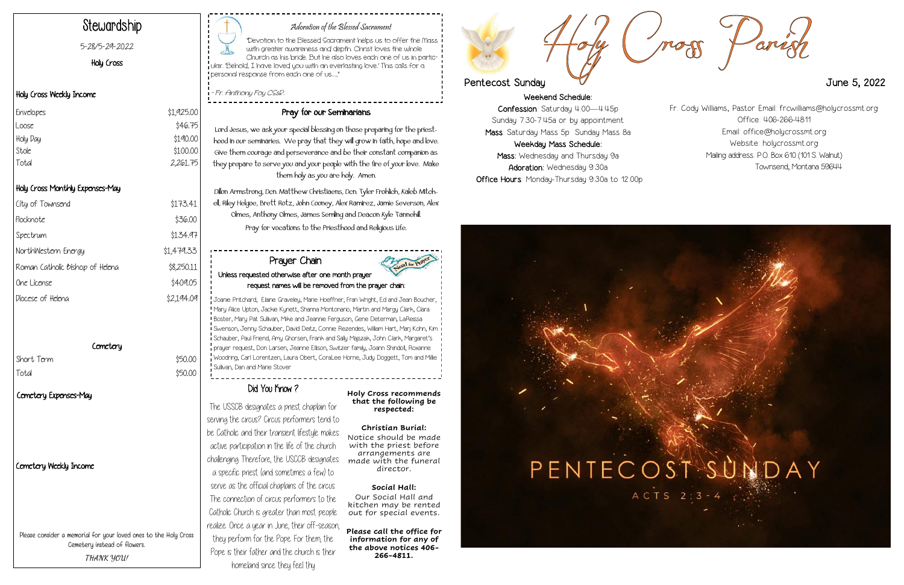Weekend Schedule: Confession: Saturday 4:00—4:45p Sunday 7:30-7:45a or by appointment Mass: Saturday Mass 5p Sunday Mass 8a Weekday Mass Schedule: Mass: Wednesday and Thursday 9a Adoration: Wednesday 9:30a Office Hours: Monday-Thursday 9:30a to 12:00p





## Adoration of the Blessed Sacrament

| City of Townsend                       | \$173.41   |
|----------------------------------------|------------|
| Flocknote                              | \$36.00    |
| Spectrum                               | \$134.97   |
| NorthWestern Energy                    | \$1,479.33 |
| Roman Catholic <i>bishop</i> of Helena | \$8,250.11 |
| One License                            | \$409.05   |
| Diocese of Heleng                      | \$2,194.09 |

# Cemetery

Short Term  $$50.00$ Total \$50.00

"Devotion to the Blessed Sacrament helps us to offer the Mass with greater awareness and depth. Christ loves the whole Church as his bride. But he also loves each one of us in particular. 'Behold, I have loved you with an everlasting love.' This calls for a personal response from each one of us...,"

- Fr. Anthony Foy CSsR.

# Stewardship

5-28/5-29-2022

Holy Cross

# Holy Cross Weekly Income

# Holy Cross Monthly Expenses-May

# Cemetery Weekly Income

# Pray for our Seminarians

Lord Jesus, we ask your special blessing on those preparing for the priesthood in our seminaries. We pray that they will grow in faith, hope and love. Give them courage and perseverance and be their constant companion as they prepare to serve you and your people with the fire of your love. Make them holy as you are holy. Amen.

Dillon Armstrong, Dcn. Matthew Christiaens, Dcn. Tyler Frohlich, Kaleb Mitchell, Riley Helgoe, Brett Rotz, John Cooney, Alex Ramirez, Jamie Severson, Alex Olmes, Anthony Olmes, James Semling and Deacon Kyle Tannehill. Pray for vocations to the Priesthood and Religious Life.

| Envelopes | \$1,925.00 |
|-----------|------------|
| Loose     | \$46.75    |
| Holy Day  | \$190.00   |
| Stole     | \$100.00   |
| Total     | 2,261.75   |

Please consider a memorial for your loved ones to the Holy Cross Cemetery instead of flowers. **THANK YOU!**

The USSCB designates a priest chaplain for serving the circus? Circus performers tend to be Catholic and their transient lifestyle makes active participation in the life of the church challenging. Therefore, the USCCB designates a specific priest (and sometimes a few) to serve as the official chaplains of the circus. The connection of circus performers to the Catholic Church is greater than most people realize. Once a year in June, their off-season, they perform for the Pope. For them, the Pope is their father and the church is their homeland since they feel thy

**Holy Cross recommends that the following be respected:**

#### **Christian Burial:** Notice should be made with the priest before arrangements are made with the funeral director.

## **Social Hall:**

Our Social Hall and kitchen may be rented out for special events.

**Please call the office for information for any of the above notices 406- 266-4811.**

# Pentecost Sunday 2022

## Prayer Chain Unless requested otherwise after one month prayer request names will be removed from the prayer chain:

Joanie Pritchard, Elaine Graveley, Marie Hoeffner, Fran Wright, Ed and Jean Boucher, Mary Alice Upton, Jackie Kynett, Shanna Montonario, Martin and Margy Clark, Clara Boster, Mary Pat Sullivan, Mike and Jeannie Ferguson, Gene Determan, LaReissa Swenson, Jenny Schauber, David Deitz, Connie Rezendes, William Hart, Marj Kohn, Kim Schauber, Paul Friend, Amy Ghorsen, Frank and Sally Majszak, John Clark, Margaret's prayer request, Don Larsen, Jeanne Ellison, Switzer family, Joann Shindoll, Roxanne Woodring, Carl Lorentzen, Laura Obert, CoraLee Horne, Judy Doggett, Tom and Millie Sullivan, Dan and Marie Stover

# Did You Know?

Fr. Cody Williams, Pastor Email: frcwilliams@holycrossmt.org Office: 406-266-4811 Email: office@holycrossmt.org Website: holycrossmt.org Mailing address: P.O. Box 610 (101 S. Walnut) Townsend, Montana 59644

# Cemetery Expenses-May